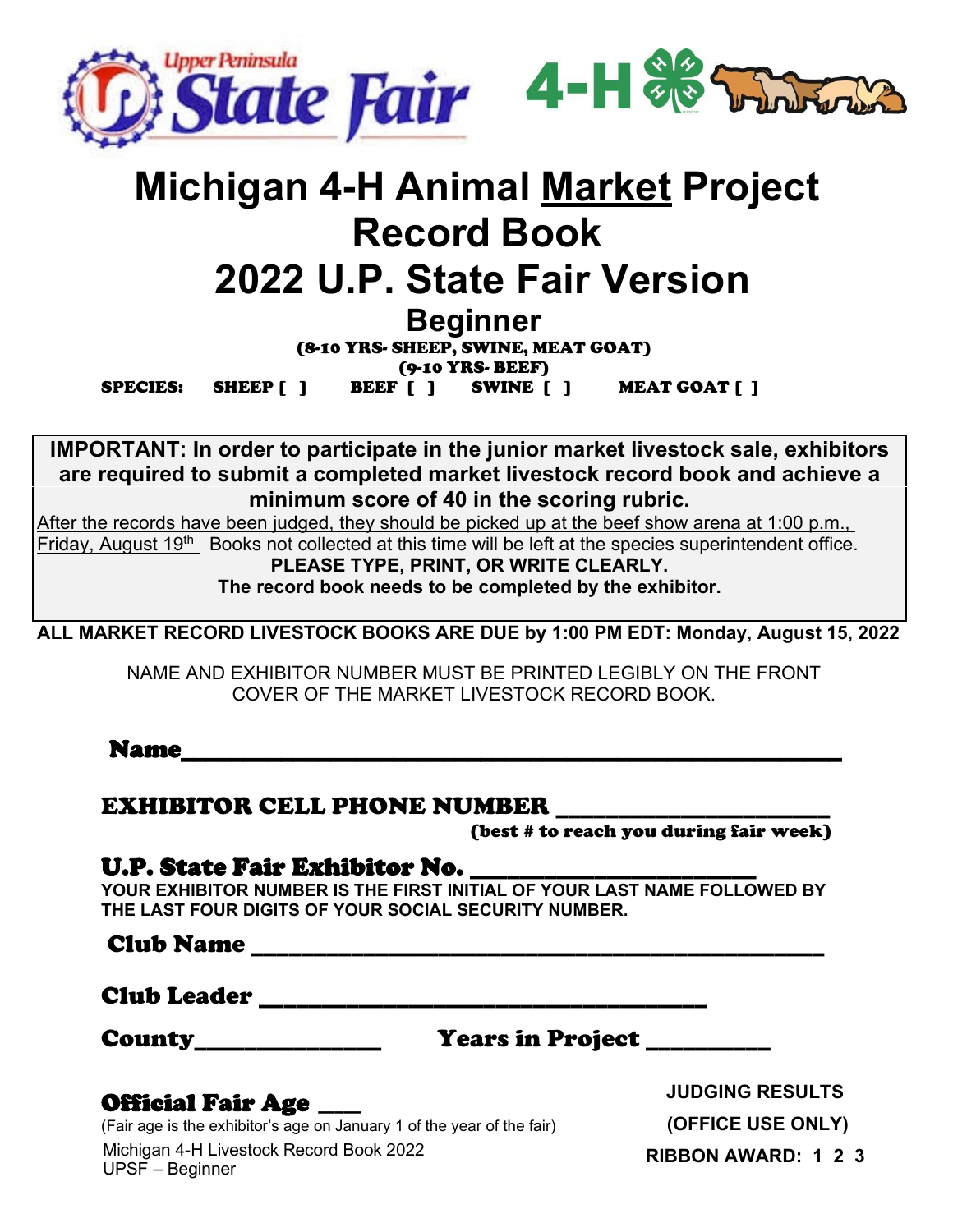

# **Michigan 4-H Animal Market Project Record Book 2022 U.P. State Fair Version**

**Beginner**

(8-10 YRS- SHEEP, SWINE, MEAT GOAT) (9-10 YRS- BEEF)

SPECIES: SHEEP [ ] BEEF [ ] SWINE [ ] MEAT GOAT [ ]

**IMPORTANT: In order to participate in the junior market livestock sale, exhibitors are required to submit a completed market livestock record book and achieve a minimum score of 40 in the scoring rubric.**

After the records have been judged, they should be picked up at the beef show arena at 1:00 p.m., Friday, August 19<sup>th</sup> Books not collected at this time will be left at the species superintendent office. **PLEASE TYPE, PRINT, OR WRITE CLEARLY.**

**The record book needs to be completed by the exhibitor.**

**ALL MARKET RECORD LIVESTOCK BOOKS ARE DUE by 1:00 PM EDT: Monday, August 15, 2022**

NAME AND EXHIBITOR NUMBER MUST BE PRINTED LEGIBLY ON THE FRONT COVER OF THE MARKET LIVESTOCK RECORD BOOK.

Name\_\_\_\_\_\_\_\_\_\_\_\_\_\_\_\_\_\_\_\_\_\_\_\_\_\_\_\_\_\_\_\_\_\_\_\_\_\_\_\_\_\_\_\_\_\_\_\_\_\_\_\_\_

#### EXHIBITOR CELL PHONE NUMBER \_\_\_\_\_\_\_\_\_\_\_\_\_\_\_\_\_\_\_\_\_\_

(best # to reach you during fair week)

#### U.P. State Fair Exhibitor No.

**YOUR EXHIBITOR NUMBER IS THE FIRST INITIAL OF YOUR LAST NAME FOLLOWED BY THE LAST FOUR DIGITS OF YOUR SOCIAL SECURITY NUMBER.**

Club Name \_\_\_\_\_\_\_\_\_\_\_\_\_\_\_\_\_\_\_\_\_\_\_\_\_\_\_\_\_\_\_\_\_\_\_\_\_\_\_\_\_\_\_\_\_\_

Club Leader \_\_\_\_\_\_\_\_\_\_\_\_\_\_\_\_\_\_\_\_\_\_\_\_\_\_\_\_\_\_\_\_\_\_\_\_

County\_\_\_\_\_\_\_\_\_\_\_\_\_\_\_ Years in Project \_\_\_\_\_\_\_\_\_\_

#### Official Fair Age \_\_\_\_\_

Michigan 4-H Livestock Record Book 2022 UPSF – Beginner (Fair age is the exhibitor's age on January 1 of the year of the fair)

**JUDGING RESULTS (OFFICE USE ONLY) RIBBON AWARD: 1 2 3**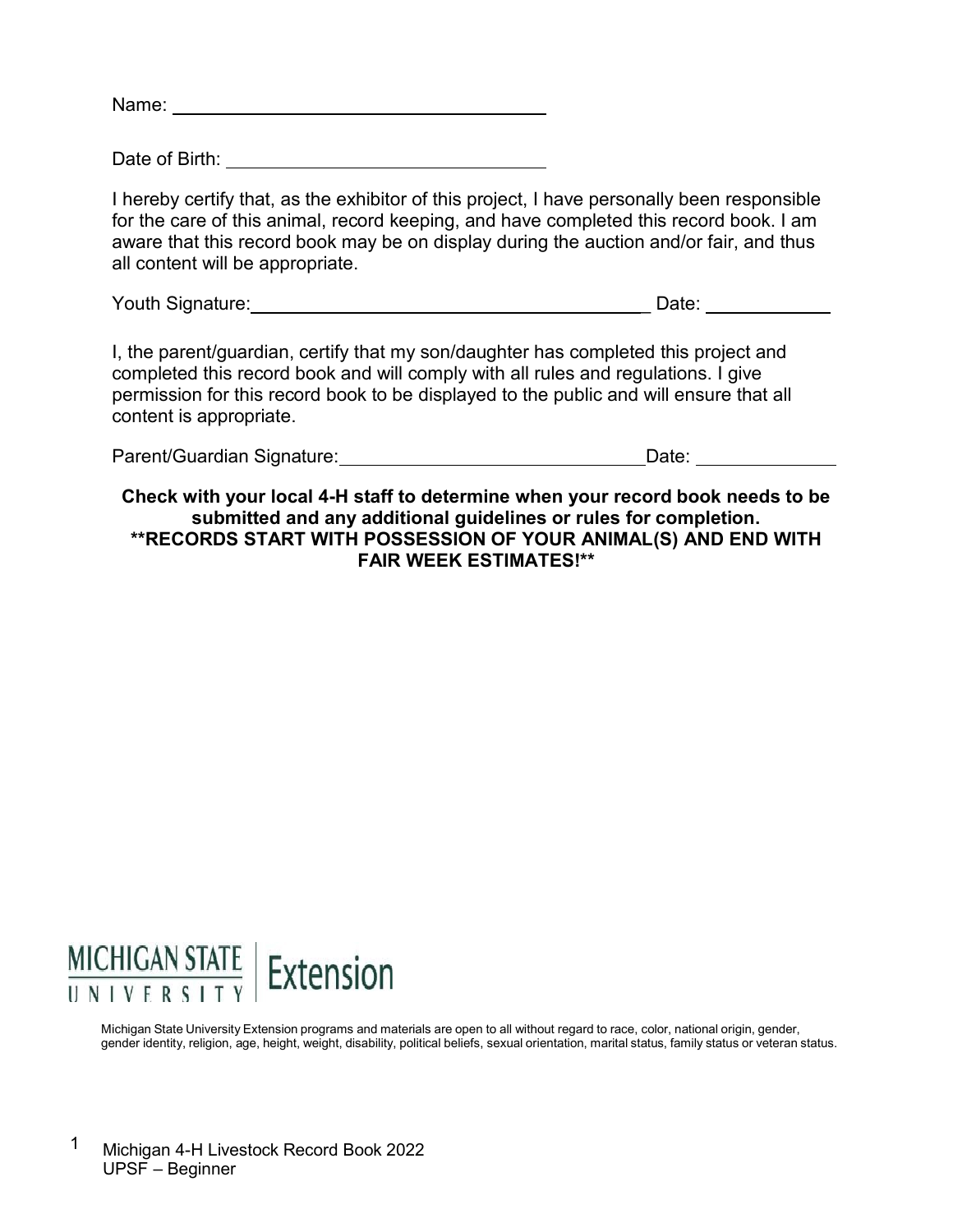Name: when the contract of the contract of the contract of the contract of the contract of the contract of the contract of the contract of the contract of the contract of the contract of the contract of the contract of the

Date of Birth:

I hereby certify that, as the exhibitor of this project, I have personally been responsible for the care of this animal, record keeping, and have completed this record book. I am aware that this record book may be on display during the auction and/or fair, and thus all content will be appropriate.

Youth Signature: \_ Date:

I, the parent/guardian, certify that my son/daughter has completed this project and completed this record book and will comply with all rules and regulations. I give permission for this record book to be displayed to the public and will ensure that all content is appropriate.

| Parent/Guardian Signature: | Date: |
|----------------------------|-------|
|                            |       |

**Check with your local 4-H staff to determine when your record book needs to be submitted and any additional guidelines or rules for completion. \*\*RECORDS START WITH POSSESSION OF YOUR ANIMAL(S) AND END WITH FAIR WEEK ESTIMATES!\*\***

# **MICHIGAN STATE** Extension

Michigan State University Extension programs and materials are open to all without regard to race, color, national origin, gender, gender identity, religion, age, height, weight, disability, political beliefs, sexual orientation, marital status, family status or veteran status.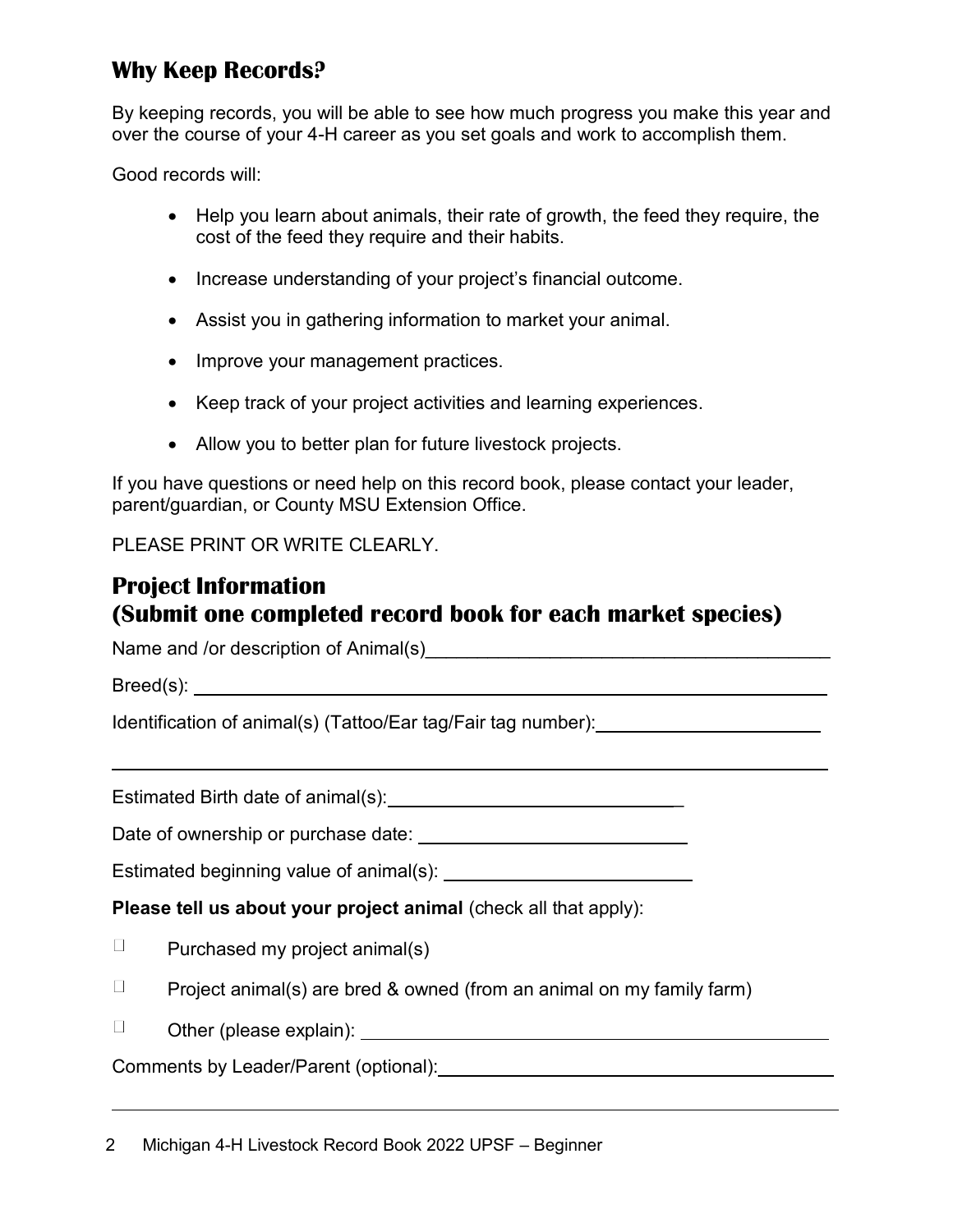## **Why Keep Records?**

By keeping records, you will be able to see how much progress you make this year and over the course of your 4-H career as you set goals and work to accomplish them.

Good records will:

- Help you learn about animals, their rate of growth, the feed they require, the cost of the feed they require and their habits.
- Increase understanding of your project's financial outcome.
- Assist you in gathering information to market your animal.
- Improve your management practices.
- Keep track of your project activities and learning experiences.
- Allow you to better plan for future livestock projects.

If you have questions or need help on this record book, please contact your leader, parent/guardian, or County MSU Extension Office.

PLEASE PRINT OR WRITE CLEARLY.

#### **Project Information (Submit one completed record book for each market species)**

Name and /or description of Animal(s) Name and  $\frac{1}{2}$ 

Breed(s): expression of  $\mathcal{B}$  and  $\mathcal{B}$  are  $\mathcal{B}$  and  $\mathcal{B}$  are  $\mathcal{B}$  and  $\mathcal{B}$  are  $\mathcal{B}$  and  $\mathcal{B}$  are  $\mathcal{B}$  and  $\mathcal{B}$  are  $\mathcal{B}$  and  $\mathcal{B}$  are  $\mathcal{B}$  and  $\mathcal{B}$  are  $\mathcal{B}$  and  $\math$ 

Identification of animal(s) (Tattoo/Ear tag/Fair tag number):

Estimated Birth date of animal(s): \_

Date of ownership or purchase date:

Estimated beginning value of animal(s):

**Please tell us about your project animal** (check all that apply):

- $\Box$ Purchased my project animal(s)
- $\Box$ Project animal(s) are bred & owned (from an animal on my family farm)
- $\Box$ Other (please explain):

Comments by Leader/Parent (optional):

2 Michigan 4-H Livestock Record Book 2022 UPSF – Beginner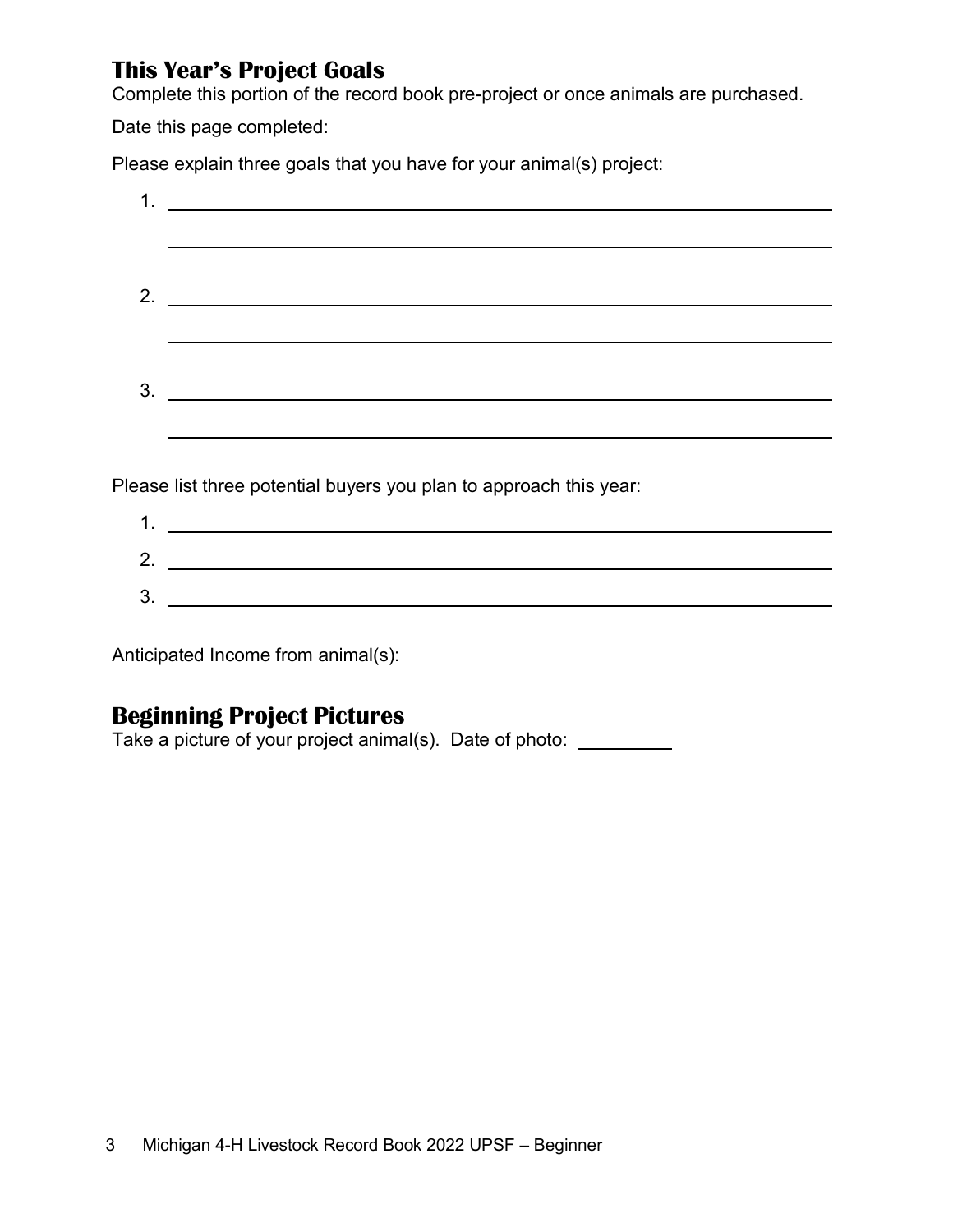#### **This Year's Project Goals**

Complete this portion of the record book pre-project or once animals are purchased.

Date this page completed:

Please explain three goals that you have for your animal(s) project:

| $\mathbf 1$ |                                                                                                                      |
|-------------|----------------------------------------------------------------------------------------------------------------------|
|             |                                                                                                                      |
|             |                                                                                                                      |
| 2.          | <u> 1989 - Jan Sterner Sterner, skrivatsk politik (d. 1989)</u>                                                      |
|             |                                                                                                                      |
|             |                                                                                                                      |
| 3.          | <u> 1989 - Johann Barbara, martxa alemaniar argametar a martxa a shekara a shekara a shekara a shekara a shekara</u> |
|             |                                                                                                                      |
|             |                                                                                                                      |
|             | Please list three potential buyers you plan to approach this year:                                                   |
| 1.          | <u> 1989 - Johann John Stein, markin fan it ferstjer fan de ferstjer fan it ferstjer fan it ferstjer fan it fers</u> |
|             | 2. $\qquad \qquad$                                                                                                   |
| 3.          | <u> 1989 - Johann Barnett, fransk politik (d. 1989)</u>                                                              |
|             |                                                                                                                      |
|             | Anticipated Income from animal(s):                                                                                   |

# **Beginning Project Pictures**

Take a picture of your project animal(s). Date of photo: \_\_\_\_\_\_\_\_\_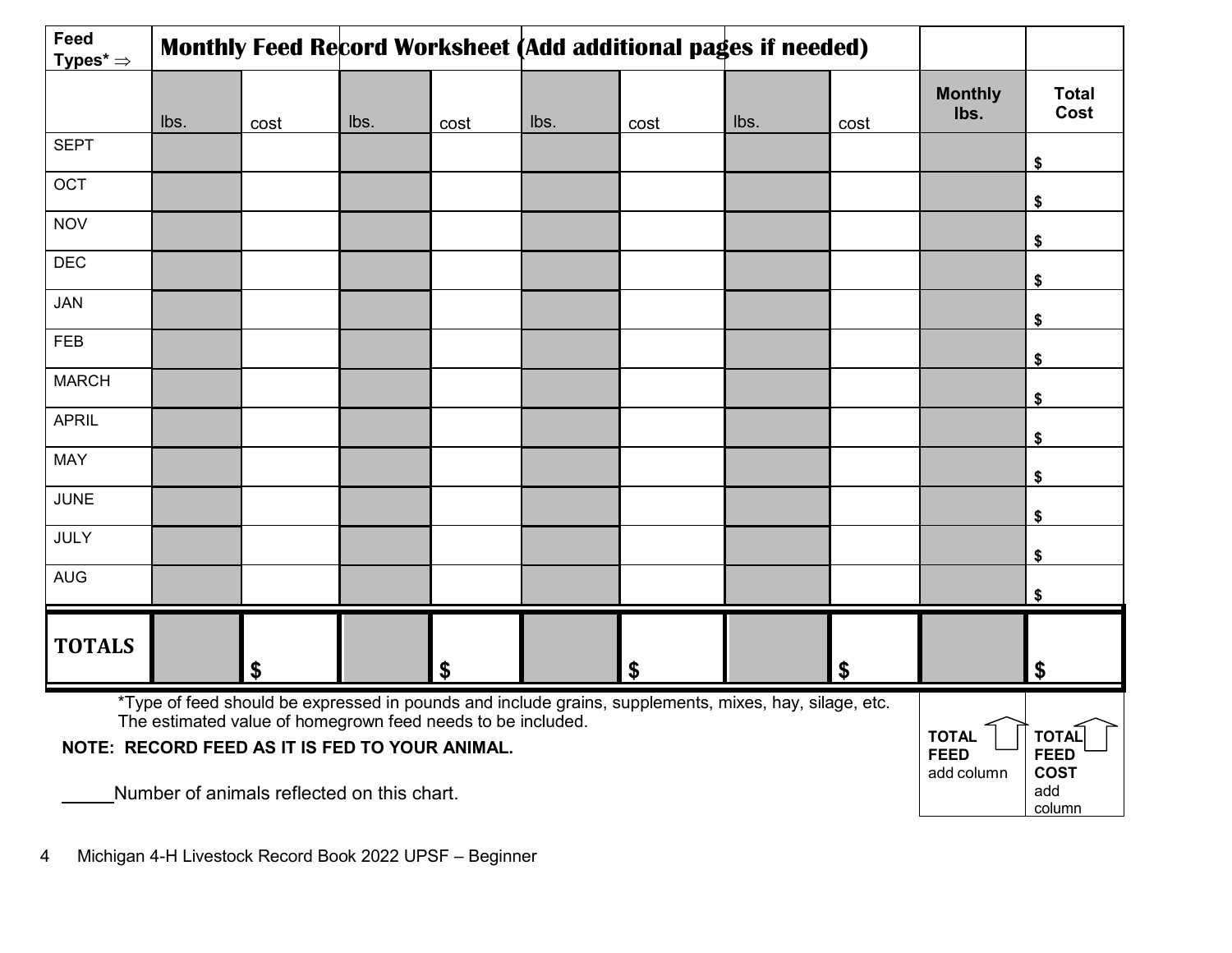| Feed<br>Types* $\Rightarrow$                                                                                                                                                                                                                          |      |      |      |      |      |      | Monthly Feed Record Worksheet (Add additional pages if needed) |      |                        |                      |
|-------------------------------------------------------------------------------------------------------------------------------------------------------------------------------------------------------------------------------------------------------|------|------|------|------|------|------|----------------------------------------------------------------|------|------------------------|----------------------|
|                                                                                                                                                                                                                                                       | lbs. | cost | lbs. | cost | lbs. | cost | lbs.                                                           | cost | <b>Monthly</b><br>Ibs. | <b>Total</b><br>Cost |
| <b>SEPT</b>                                                                                                                                                                                                                                           |      |      |      |      |      |      |                                                                |      |                        | \$                   |
| OCT                                                                                                                                                                                                                                                   |      |      |      |      |      |      |                                                                |      |                        | \$                   |
| <b>NOV</b>                                                                                                                                                                                                                                            |      |      |      |      |      |      |                                                                |      |                        | \$                   |
| <b>DEC</b>                                                                                                                                                                                                                                            |      |      |      |      |      |      |                                                                |      |                        | \$                   |
| JAN                                                                                                                                                                                                                                                   |      |      |      |      |      |      |                                                                |      |                        | \$                   |
| <b>FEB</b>                                                                                                                                                                                                                                            |      |      |      |      |      |      |                                                                |      |                        | \$                   |
| <b>MARCH</b>                                                                                                                                                                                                                                          |      |      |      |      |      |      |                                                                |      |                        | \$                   |
| <b>APRIL</b>                                                                                                                                                                                                                                          |      |      |      |      |      |      |                                                                |      |                        | \$                   |
| <b>MAY</b>                                                                                                                                                                                                                                            |      |      |      |      |      |      |                                                                |      |                        | \$                   |
| <b>JUNE</b>                                                                                                                                                                                                                                           |      |      |      |      |      |      |                                                                |      |                        | \$                   |
| JULY                                                                                                                                                                                                                                                  |      |      |      |      |      |      |                                                                |      |                        | \$                   |
| <b>AUG</b>                                                                                                                                                                                                                                            |      |      |      |      |      |      |                                                                |      |                        | \$                   |
| <b>TOTALS</b>                                                                                                                                                                                                                                         |      | \$   |      | \$   |      | \$   |                                                                | \$   |                        | \$                   |
| *Type of feed should be expressed in pounds and include grains, supplements, mixes, hay, silage, etc.<br>The estimated value of homegrown feed needs to be included.<br><b>TOTAL</b><br>NOTE: RECORD FEED AS IT IS FED TO YOUR ANIMAL.<br><b>FEED</b> |      |      |      |      |      |      | <b>TOTAI</b><br><b>FEED</b>                                    |      |                        |                      |

add column

**COST** add column

Number of animals reflected on this chart.

4 Michigan 4-H Livestock Record Book 2022 UPSF – Beginner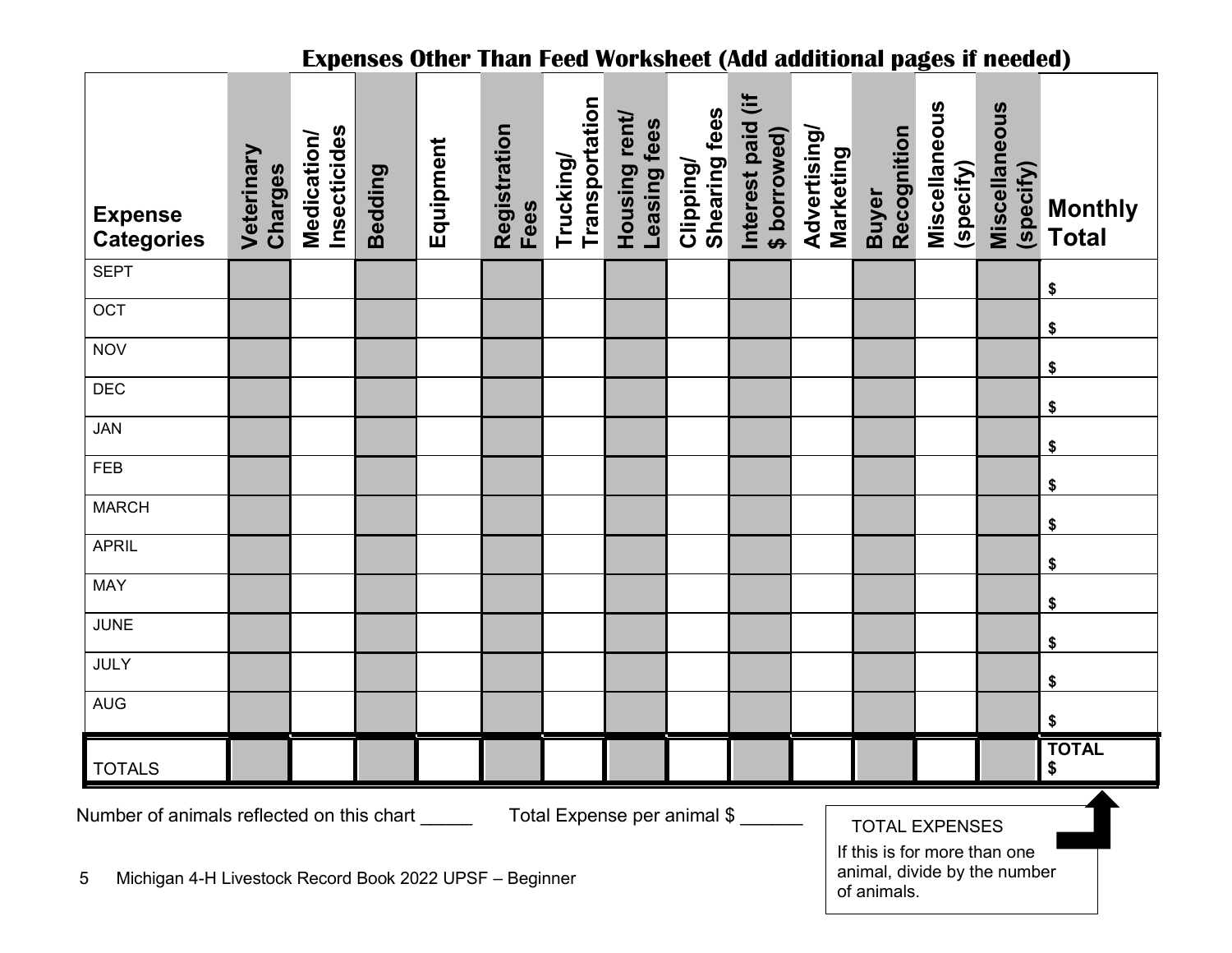| <b>Expenses Other Than Feed Worksheet (Add additional pages if needed)</b>                                                                                                                                                                       |                       |                             |         |           |                      |                             |                               |                                   |                                             |                           |                             |                            |                            |                                |
|--------------------------------------------------------------------------------------------------------------------------------------------------------------------------------------------------------------------------------------------------|-----------------------|-----------------------------|---------|-----------|----------------------|-----------------------------|-------------------------------|-----------------------------------|---------------------------------------------|---------------------------|-----------------------------|----------------------------|----------------------------|--------------------------------|
| <b>Expense</b><br><b>Categories</b>                                                                                                                                                                                                              | Veterinary<br>Charges | Insecticides<br>Medication/ | Bedding | Equipment | Registration<br>Fees | Transportation<br>Trucking/ | Housing rent/<br>Leasing fees | <b>Shearing fees</b><br>Clipping/ | $\ddot{=}$<br>Interest paid<br>\$ borrowed) | Advertising/<br>Marketing | Recognition<br><b>Buyer</b> | Miscellaneous<br>(specify) | Miscellaneous<br>(specify) | <b>Monthly</b><br><b>Total</b> |
| <b>SEPT</b>                                                                                                                                                                                                                                      |                       |                             |         |           |                      |                             |                               |                                   |                                             |                           |                             |                            |                            | \$                             |
| OCT                                                                                                                                                                                                                                              |                       |                             |         |           |                      |                             |                               |                                   |                                             |                           |                             |                            |                            | \$                             |
| <b>NOV</b>                                                                                                                                                                                                                                       |                       |                             |         |           |                      |                             |                               |                                   |                                             |                           |                             |                            |                            | \$                             |
| <b>DEC</b>                                                                                                                                                                                                                                       |                       |                             |         |           |                      |                             |                               |                                   |                                             |                           |                             |                            |                            | \$                             |
| <b>JAN</b>                                                                                                                                                                                                                                       |                       |                             |         |           |                      |                             |                               |                                   |                                             |                           |                             |                            |                            |                                |
| <b>FEB</b>                                                                                                                                                                                                                                       |                       |                             |         |           |                      |                             |                               |                                   |                                             |                           |                             |                            |                            | \$                             |
| <b>MARCH</b>                                                                                                                                                                                                                                     |                       |                             |         |           |                      |                             |                               |                                   |                                             |                           |                             |                            |                            | \$                             |
| <b>APRIL</b>                                                                                                                                                                                                                                     |                       |                             |         |           |                      |                             |                               |                                   |                                             |                           |                             |                            |                            | \$                             |
| <b>MAY</b>                                                                                                                                                                                                                                       |                       |                             |         |           |                      |                             |                               |                                   |                                             |                           |                             |                            |                            | \$                             |
| <b>JUNE</b>                                                                                                                                                                                                                                      |                       |                             |         |           |                      |                             |                               |                                   |                                             |                           |                             |                            |                            | \$                             |
| JULY                                                                                                                                                                                                                                             |                       |                             |         |           |                      |                             |                               |                                   |                                             |                           |                             |                            |                            | \$                             |
| <b>AUG</b>                                                                                                                                                                                                                                       |                       |                             |         |           |                      |                             |                               |                                   |                                             |                           |                             |                            |                            | \$                             |
|                                                                                                                                                                                                                                                  |                       |                             |         |           |                      |                             |                               |                                   |                                             |                           |                             |                            |                            | \$                             |
| <b>TOTALS</b>                                                                                                                                                                                                                                    |                       |                             |         |           |                      |                             |                               |                                   |                                             |                           |                             |                            |                            | <b>TOTAL</b><br>\$             |
| Total Expense per animal \$<br>Number of animals reflected on this chart<br><b>TOTAL EXPENSES</b><br>If this is for more than one<br>animal, divide by the number<br>Michigan 4-H Livestock Record Book 2022 UPSF - Beginner<br>5<br>of animals. |                       |                             |         |           |                      |                             |                               |                                   |                                             |                           |                             |                            |                            |                                |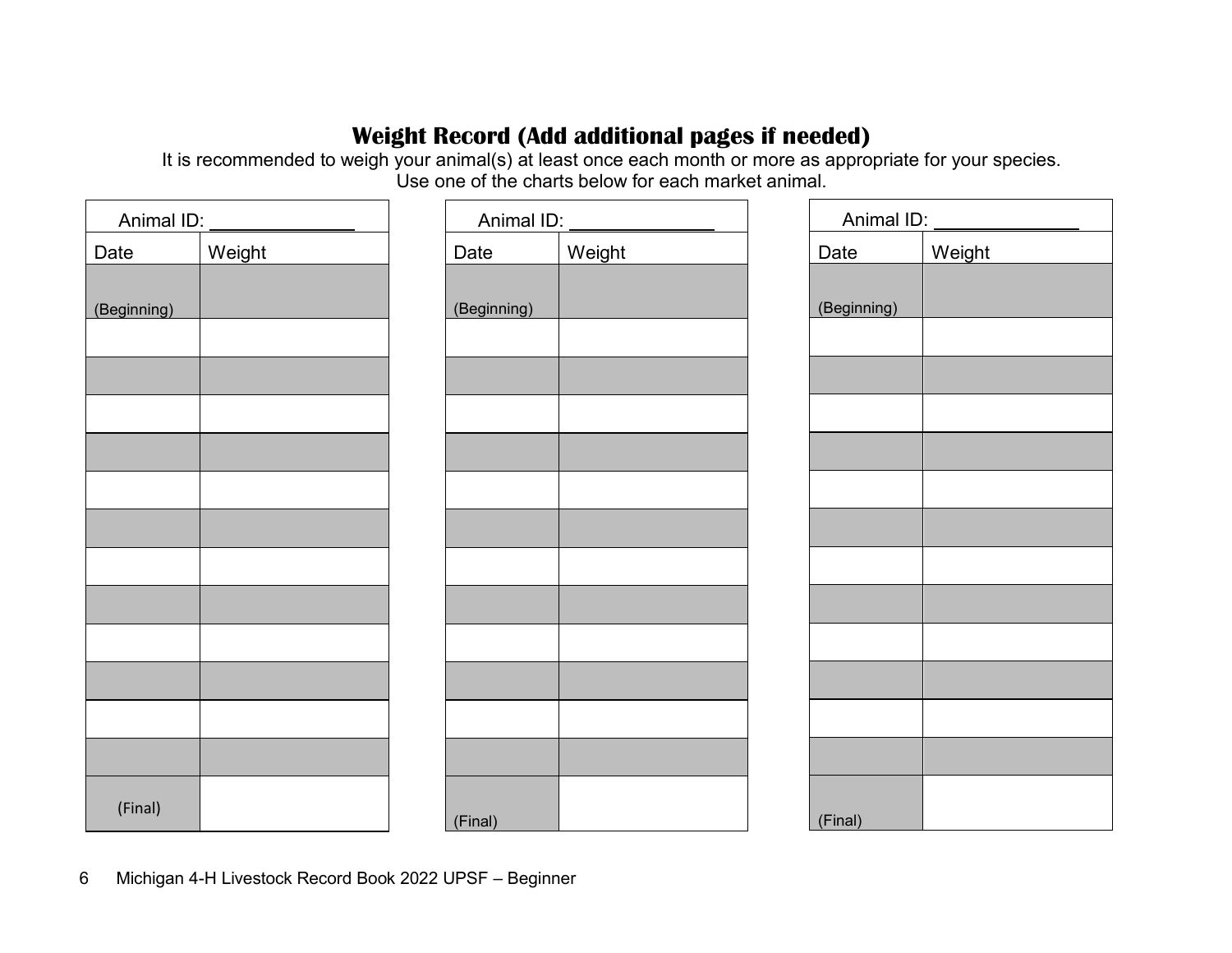# **Weight Record (Add additional pages if needed)**

It is recommended to weigh your animal(s) at least once each month or more as appropriate for your species. Use one of the charts below for each market animal.

|             | Animal ID: ______________ |             | Animal ID: ______________ | Animal ID:  |        |  |
|-------------|---------------------------|-------------|---------------------------|-------------|--------|--|
| Date        | Weight                    | Date        | Weight                    | Date        | Weight |  |
|             |                           |             |                           |             |        |  |
| (Beginning) |                           | (Beginning) |                           | (Beginning) |        |  |
|             |                           |             |                           |             |        |  |
|             |                           |             |                           |             |        |  |
|             |                           |             |                           |             |        |  |
|             |                           |             |                           |             |        |  |
|             |                           |             |                           |             |        |  |
|             |                           |             |                           |             |        |  |
|             |                           |             |                           |             |        |  |
|             |                           |             |                           |             |        |  |
|             |                           |             |                           |             |        |  |
|             |                           |             |                           |             |        |  |
|             |                           |             |                           |             |        |  |
|             |                           |             |                           |             |        |  |
| (Final)     |                           | (Final)     |                           | (Final)     |        |  |

6 Michigan 4-H Livestock Record Book 2022 UPSF – Beginner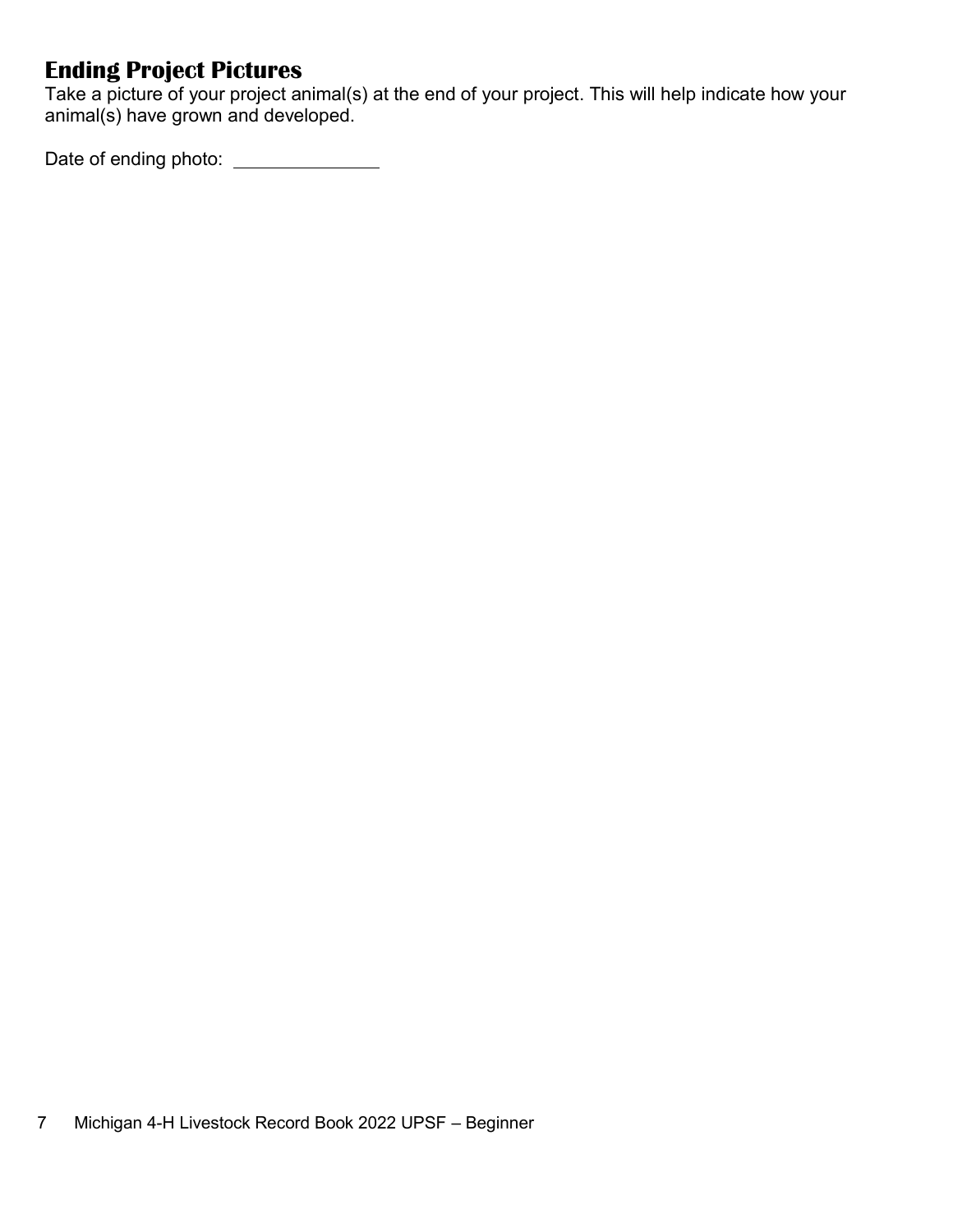# **Ending Project Pictures**

Take a picture of your project animal(s) at the end of your project. This will help indicate how your animal(s) have grown and developed.

Date of ending photo: \_\_\_\_\_\_\_\_\_\_\_\_\_\_\_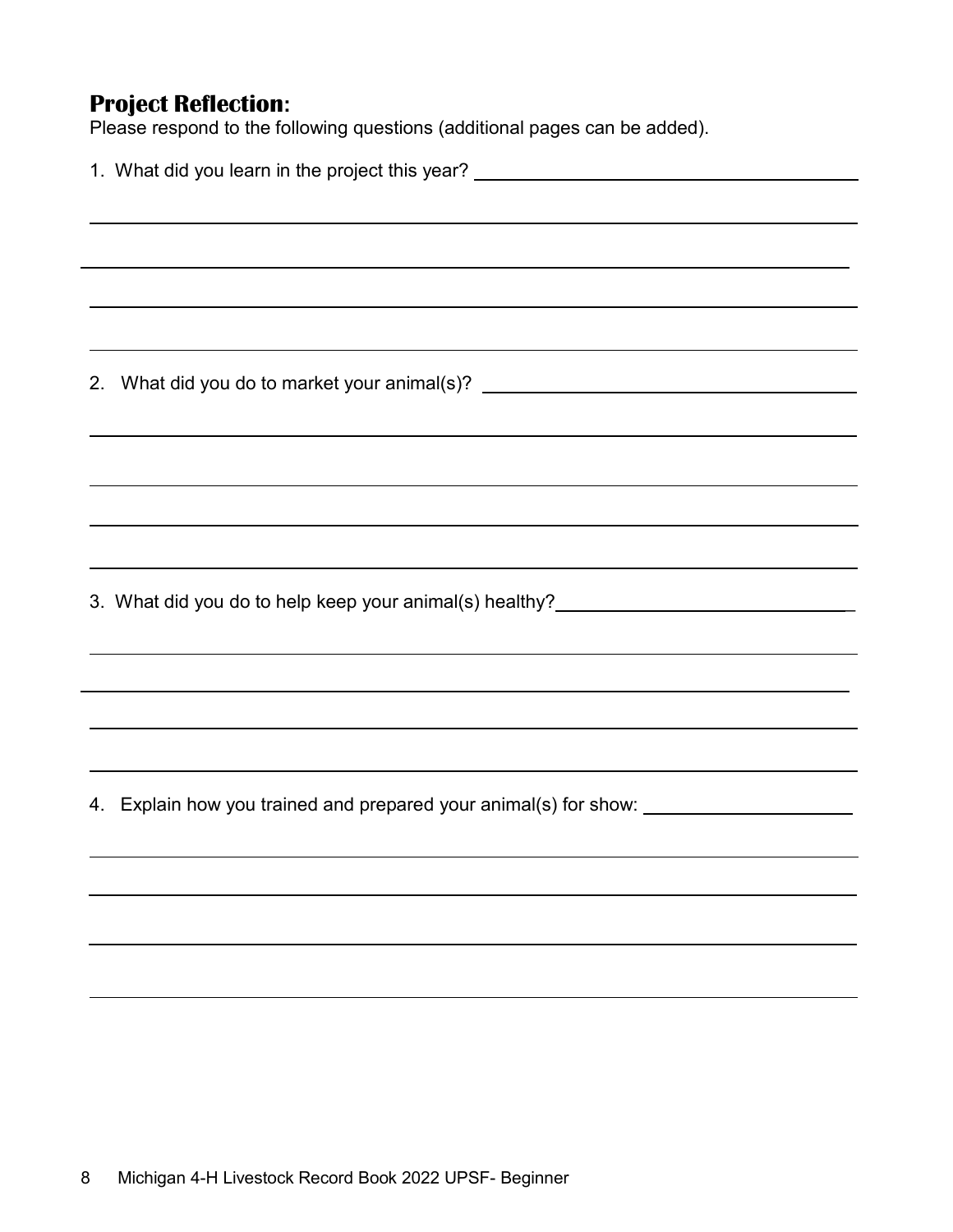# **Project Reflection:**

Please respond to the following questions (additional pages can be added).

| 1. What did you learn in the project this year? ________________________________ |                                                                                                                       |  |  |  |  |
|----------------------------------------------------------------------------------|-----------------------------------------------------------------------------------------------------------------------|--|--|--|--|
|                                                                                  |                                                                                                                       |  |  |  |  |
|                                                                                  | ,我们也不会有什么。""我们的人,我们也不会有什么?""我们的人,我们也不会有什么?""我们的人,我们也不会有什么?""我们的人,我们也不会有什么?""我们的人                                      |  |  |  |  |
|                                                                                  |                                                                                                                       |  |  |  |  |
|                                                                                  | ,我们也不会有什么。""我们的人,我们也不会有什么?""我们的人,我们也不会有什么?""我们的人,我们也不会有什么?""我们的人,我们也不会有什么?""我们的人                                      |  |  |  |  |
|                                                                                  |                                                                                                                       |  |  |  |  |
|                                                                                  |                                                                                                                       |  |  |  |  |
|                                                                                  | <u> 1989 - Jan Samuel Barbara, margaret amerikan basar dan berasal dalam berasal dalam berasal dalam berasal dala</u> |  |  |  |  |
|                                                                                  |                                                                                                                       |  |  |  |  |
|                                                                                  | 2. What did you do to market your animal(s)? ___________________________________                                      |  |  |  |  |
|                                                                                  |                                                                                                                       |  |  |  |  |
|                                                                                  |                                                                                                                       |  |  |  |  |
|                                                                                  |                                                                                                                       |  |  |  |  |
|                                                                                  | ,我们也不会有什么。""我们的人,我们也不会有什么?""我们的人,我们也不会有什么?""我们的人,我们也不会有什么?""我们的人,我们也不会有什么?""我们的人                                      |  |  |  |  |
|                                                                                  | <u> 1989 - Johann Stoff, deutscher Stoffen und der Stoffen und der Stoffen und der Stoffen und der Stoffen und de</u> |  |  |  |  |
|                                                                                  |                                                                                                                       |  |  |  |  |
|                                                                                  | ,我们也不会有什么。""我们的人,我们也不会有什么?""我们的人,我们也不会有什么?""我们的人,我们也不会有什么?""我们的人,我们也不会有什么?""我们的人                                      |  |  |  |  |
|                                                                                  | 3. What did you do to help keep your animal(s) healthy?_________________________                                      |  |  |  |  |
|                                                                                  |                                                                                                                       |  |  |  |  |
|                                                                                  | ,我们也不会有什么。""我们的人,我们也不会有什么?""我们的人,我们也不会有什么?""我们的人,我们也不会有什么?""我们的人,我们也不会有什么?""我们的人                                      |  |  |  |  |
|                                                                                  |                                                                                                                       |  |  |  |  |
|                                                                                  | <u> 1989 - Johann Stoff, amerikansk politiker (d. 1989)</u>                                                           |  |  |  |  |
|                                                                                  | ,我们也不会有什么。""我们的人,我们也不会有什么?""我们的人,我们也不会有什么?""我们的人,我们也不会有什么?""我们的人,我们也不会有什么?""我们的人                                      |  |  |  |  |
|                                                                                  |                                                                                                                       |  |  |  |  |
|                                                                                  | ,我们也不会有什么。""我们的人,我们也不会有什么?""我们的人,我们也不会有什么?""我们的人,我们也不会有什么?""我们的人,我们也不会有什么?""我们的人                                      |  |  |  |  |
|                                                                                  |                                                                                                                       |  |  |  |  |
|                                                                                  | 4. Explain how you trained and prepared your animal(s) for show: _______________                                      |  |  |  |  |
|                                                                                  |                                                                                                                       |  |  |  |  |
|                                                                                  |                                                                                                                       |  |  |  |  |
|                                                                                  |                                                                                                                       |  |  |  |  |
|                                                                                  |                                                                                                                       |  |  |  |  |
|                                                                                  |                                                                                                                       |  |  |  |  |
|                                                                                  |                                                                                                                       |  |  |  |  |
|                                                                                  |                                                                                                                       |  |  |  |  |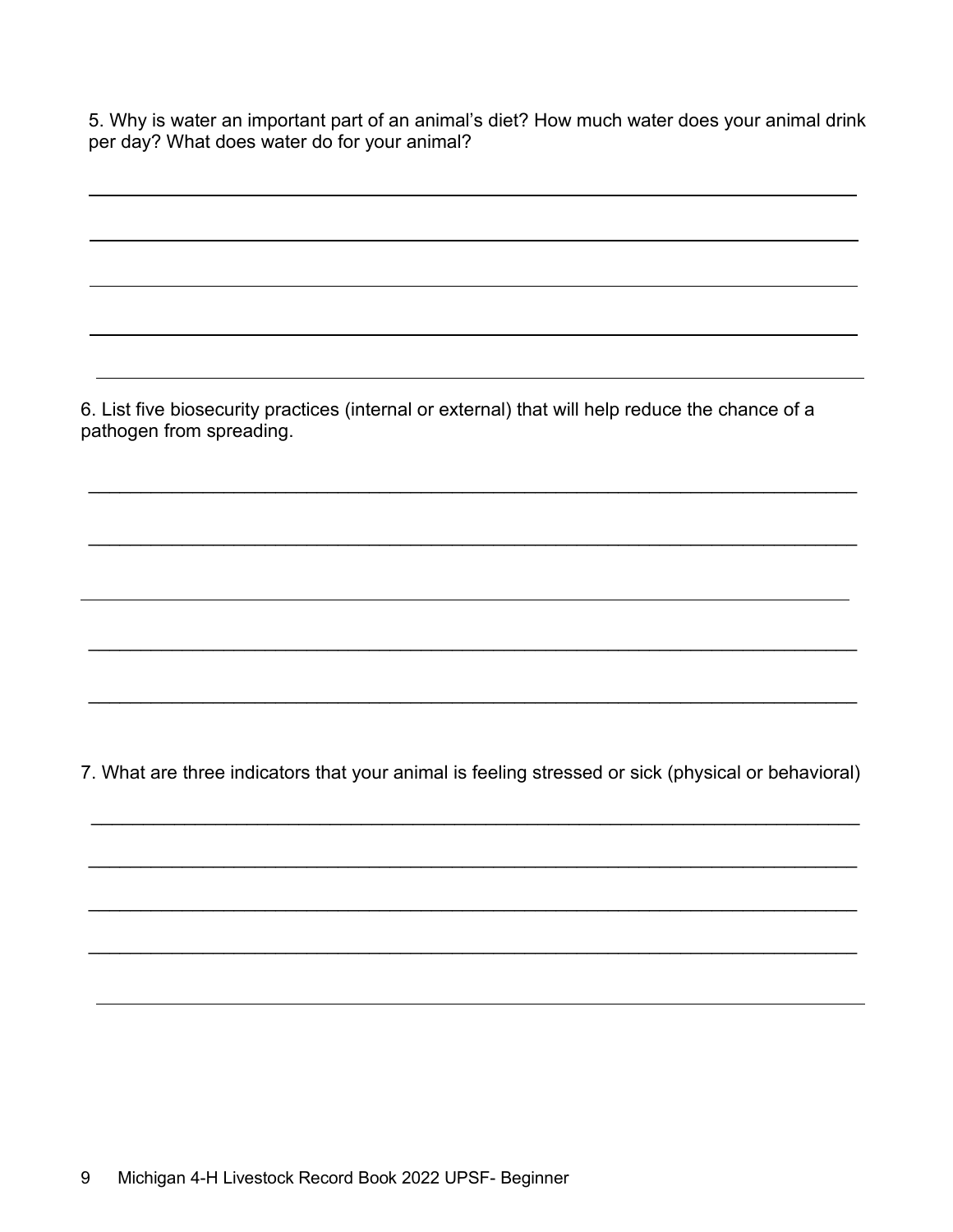5. Why is water an important part of an animal's diet? How much water does your animal drink per day? What does water do for your animal?

6. List five biosecurity practices (internal or external) that will help reduce the chance of a pathogen from spreading.

\_\_\_\_\_\_\_\_\_\_\_\_\_\_\_\_\_\_\_\_\_\_\_\_\_\_\_\_\_\_\_\_\_\_\_\_\_\_\_\_\_\_\_\_\_\_\_\_\_\_\_\_\_\_\_\_\_\_\_\_\_\_\_\_\_\_\_\_\_\_\_\_\_\_

\_\_\_\_\_\_\_\_\_\_\_\_\_\_\_\_\_\_\_\_\_\_\_\_\_\_\_\_\_\_\_\_\_\_\_\_\_\_\_\_\_\_\_\_\_\_\_\_\_\_\_\_\_\_\_\_\_\_\_\_\_\_\_\_\_\_\_\_\_\_\_\_\_\_

\_\_\_\_\_\_\_\_\_\_\_\_\_\_\_\_\_\_\_\_\_\_\_\_\_\_\_\_\_\_\_\_\_\_\_\_\_\_\_\_\_\_\_\_\_\_\_\_\_\_\_\_\_\_\_\_\_\_\_\_\_\_\_\_\_\_\_\_\_\_\_\_\_\_

\_\_\_\_\_\_\_\_\_\_\_\_\_\_\_\_\_\_\_\_\_\_\_\_\_\_\_\_\_\_\_\_\_\_\_\_\_\_\_\_\_\_\_\_\_\_\_\_\_\_\_\_\_\_\_\_\_\_\_\_\_\_\_\_\_\_\_\_\_\_\_\_\_\_

7. What are three indicators that your animal is feeling stressed or sick (physical or behavioral)

\_\_\_\_\_\_\_\_\_\_\_\_\_\_\_\_\_\_\_\_\_\_\_\_\_\_\_\_\_\_\_\_\_\_\_\_\_\_\_\_\_\_\_\_\_\_\_\_\_\_\_\_\_\_\_\_\_\_\_\_\_\_\_\_\_\_\_\_\_\_\_\_\_\_

\_\_\_\_\_\_\_\_\_\_\_\_\_\_\_\_\_\_\_\_\_\_\_\_\_\_\_\_\_\_\_\_\_\_\_\_\_\_\_\_\_\_\_\_\_\_\_\_\_\_\_\_\_\_\_\_\_\_\_\_\_\_\_\_\_\_\_\_\_\_\_\_\_\_

\_\_\_\_\_\_\_\_\_\_\_\_\_\_\_\_\_\_\_\_\_\_\_\_\_\_\_\_\_\_\_\_\_\_\_\_\_\_\_\_\_\_\_\_\_\_\_\_\_\_\_\_\_\_\_\_\_\_\_\_\_\_\_\_\_\_\_\_\_\_\_\_\_\_

\_\_\_\_\_\_\_\_\_\_\_\_\_\_\_\_\_\_\_\_\_\_\_\_\_\_\_\_\_\_\_\_\_\_\_\_\_\_\_\_\_\_\_\_\_\_\_\_\_\_\_\_\_\_\_\_\_\_\_\_\_\_\_\_\_\_\_\_\_\_\_\_\_\_